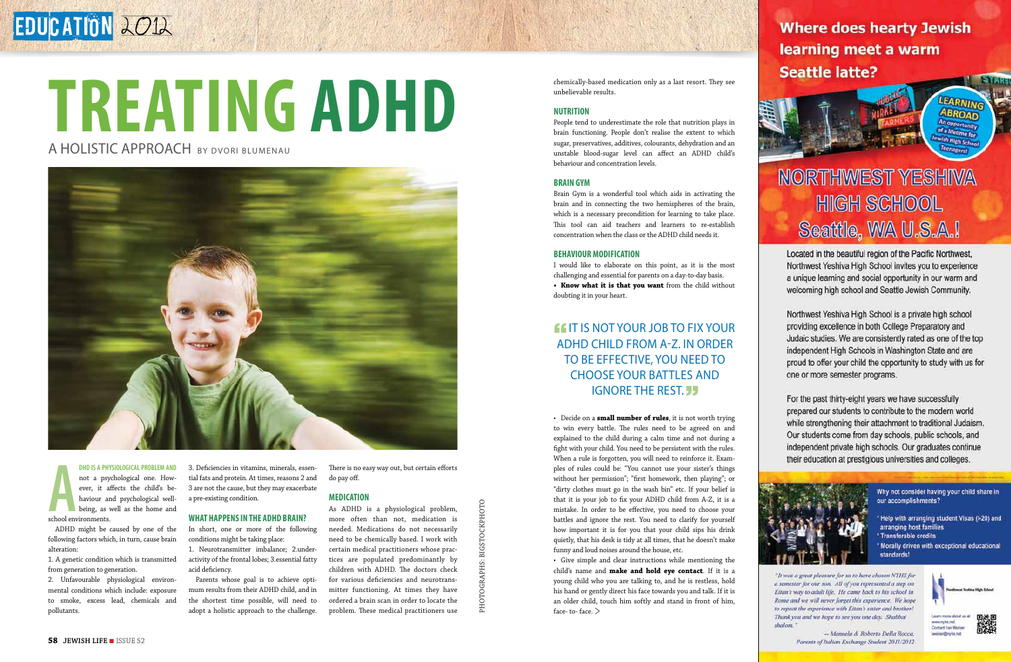### **A**school environments. **DHD is a physiological problem and** not a psychological one. However, it affects the child's behaviour and psychological wellbeing, as well as the home and

ADHD might be caused by one of the following factors which, in turn, cause brain alteration:

1. A genetic condition which is transmitted from generation to generation.

2. Unfavourable physiological environmental conditions which include: exposure to smoke, excess lead, chemicals and pollutants.

3. Deficiencies in vitamins, minerals, essential fats and protein. At times, reasons 2 and 3 are not the cause, but they may exacerbate a pre-existing condition.

### **What happens in the ADHD brain?**

In short, one or more of the following conditions might be taking place:

1. Neurotransmitter imbalance; 2.underactivity of the frontal lobes; 3.essential fatty acid deficiency.

Parents whose goal is to achieve optimum results from their ADHD child, and in the shortest time possible, will need to adopt a holistic approach to the challenge. There is no easy way out, but certain efforts do pay off.

### **Medication**

As ADHD is a physiological problem, more often than not, medication is needed. Medications do not necessarily need to be chemically based. I work with certain medical practitioners whose practices are populated predominantly by children with ADHD. The doctors check for various deficiencies and neurotransmitter functioning. At times they have ordered a brain scan in order to locate the problem. These medical practitioners use chemically-based medication only as a last resort. They see unbelievable results.

### **Nutrition**

People tend to underestimate the role that nutrition plays in brain functioning. People don't realise the extent to which sugar, preservatives, additives, colourants, dehydration and an unstable blood-sugar level can affect an ADHD child's behaviour and concentration levels.

OCKPHOTO raphS: bigstockphoto photo g

### **Brain Gym**

Brain Gym is a wonderful tool which aids in activating the brain and in connecting the two hemispheres of the brain, which is a necessary precondition for learning to take place. This tool can aid teachers and learners to re-establish concentration when the class or the ADHD child needs it.

### **Behaviour modification**

I would like to elaborate on this point, as it is the most challenging and essential for parents on a day-to-day basis. **• Know what it is that you want** from the child without doubting it in your heart.

### **If IT IS NOT YOUR JOB TO FIX YOUR** ADHD child from A-Z. In order to be effective, you need to choose your battles and **IGNORE THE REST. JJ**

• Decide on a **small number of rules**, it is not worth trying to win every battle. The rules need to be agreed on and explained to the child during a calm time and not during a fight with your child. You need to be persistent with the rules. When a rule is forgotten, you will need to reinforce it. Examples of rules could be: "You cannot use your sister's things without her permission"; "first homework, then playing"; or "dirty clothes must go in the wash bin" etc. If your belief is that it is your job to fix your ADHD child from A-Z, it is a mistake. In order to be effective, you need to choose your battles and ignore the rest. You need to clarify for yourself how important it is for you that your child sips his drink quietly, that his desk is tidy at all times, that he doesn't make funny and loud noises around the house, etc.

• Give simple and clear instructions while mentioning the child's name and **make and hold eye contact**. If it is a young child who you are talking to, and he is restless, hold his hand or gently direct his face towards you and talk. If it is an older child, touch him softly and stand in front of him, face- to- face. >

**Where does hearty Jewish** learning meet a warm **Seattle latte?** 

> LEARNING ABROAD

of a lifetime for

# **NORTHWEST YESHIVA HIGH SCHOOL** Seattle, WA U.S.A.I

Located in the beautiful region of the Pacific Northwest. Northwest Yeshiva High School invites you to experience a unique learning and social opportunity in our warm and welcoming high school and Seattle Jewish Community.

Northwest Yeshiva High School is a private high school providing excellence in both College Preparatory and Judaic studies. We are consistently rated as one of the top independent High Schools in Washington State and are proud to offer your child the opportunity to study with us for one or more semester programs.

For the past thirty-eight years we have successfully prepared our students to contribute to the modern world while strengthening their attachment to traditional Judaism. Our students come from day schools, public schools, and independent private high schools. Our graduates continue their education at prestigious universities and colleges.



- \* Help with arranging student Visas (I-20) and arranging host families
- \* Transferable credits
- \* Morally driven with exceptional educational standards!

"It was a great pleasure for us to have chosen NYHS for a semester for our son. All of you represented a step on Ettan's way to adult life. He came back to his school in Rome and we will never forget this experience. We hope to repeat the experience with Ettan's sister and brother! Thank you and we hope to see you one day. Shabbat



www.ryha.net Corport lan Weine *<u>Iminer@nyta.net</u>* 



- Manuela & Roberto Della Rocca, Parents of Italian Exchange Student 2011/2012



# **Treating ADHD**

## A HOLISTIC APPROACH BY DVORL BLUMENAU